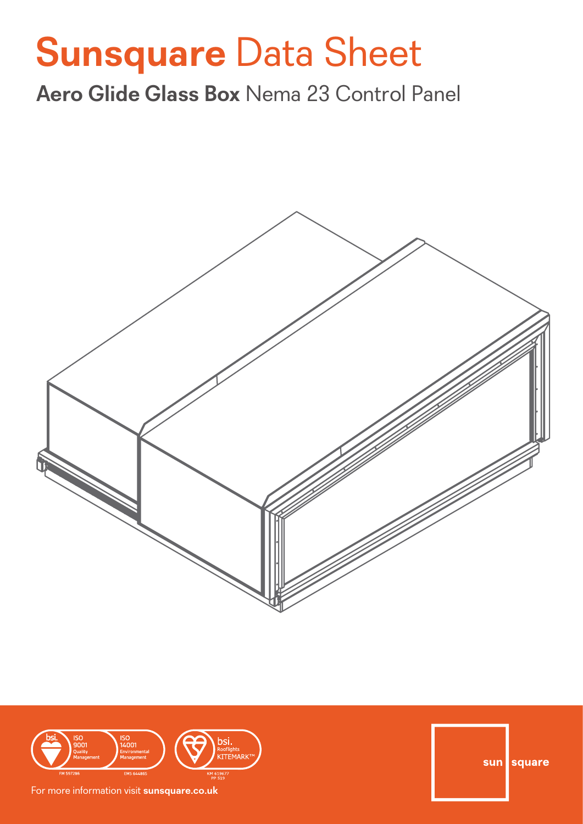# **Sunsquare** Data Sheet

**Aero Glide Glass Box** Nema 23 Control Panel





For more information visit **sunsquare.co.uk**

sun square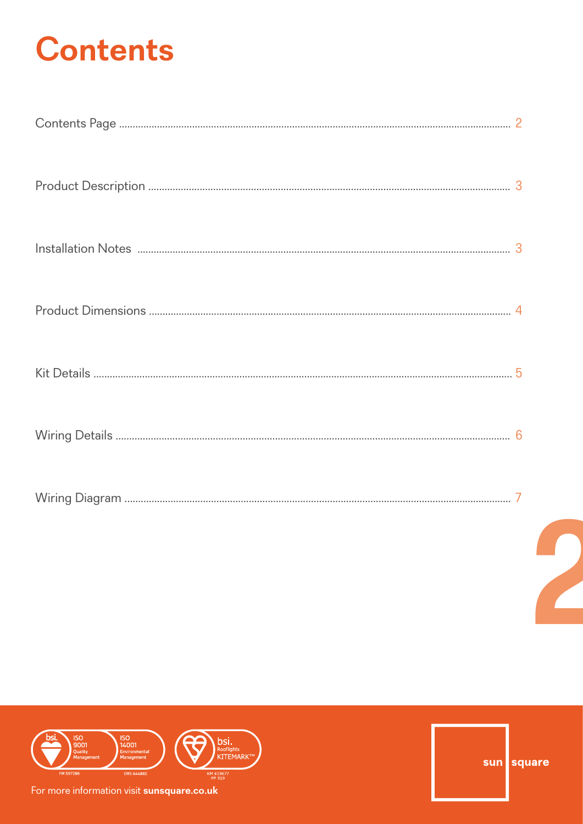# **Contents**



For more information visit sunsquare.co.uk

sun square

 $\overline{\phantom{a}}$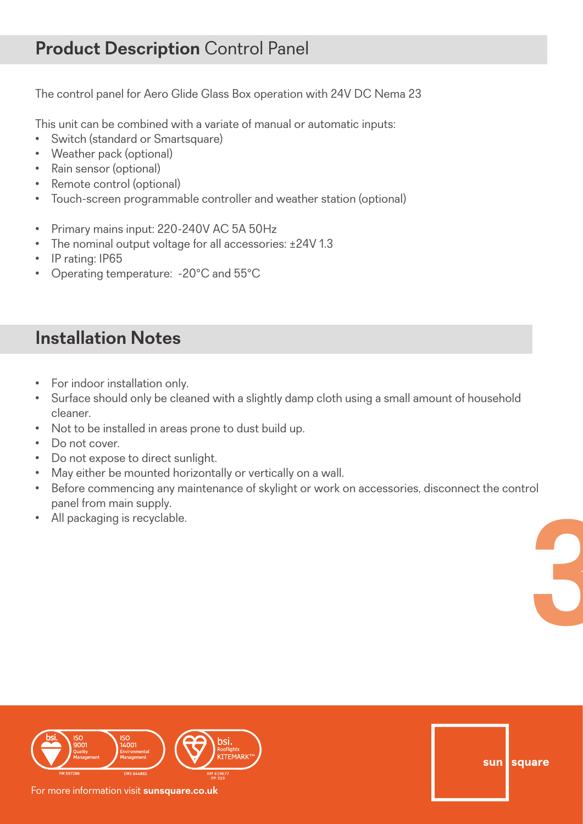The control panel for Aero Glide Glass Box operation with 24V DC Nema 23

This unit can be combined with a variate of manual or automatic inputs:

- Switch (standard or Smartsquare)
- Weather pack (optional)
- Rain sensor (optional)
- Remote control (optional)
- Touch-screen programmable controller and weather station (optional)
- Primary mains input: 220-240V AC 5A 50Hz
- The nominal output voltage for all accessories: ±24V 1.3
- IP rating: IP65
- Operating temperature: -20°C and 55°C

## **Installation Notes**

- For indoor installation only.
- Surface should only be cleaned with a slightly damp cloth using a small amount of household cleaner.
- Not to be installed in areas prone to dust build up.
- Do not cover.
- Do not expose to direct sunlight.
- May either be mounted horizontally or vertically on a wall.
- **3** • Before commencing any maintenance of skylight or work on accessories, disconnect the control panel from main supply.
- All packaging is recyclable.



For more information visit **sunsquare.co.uk**

sun square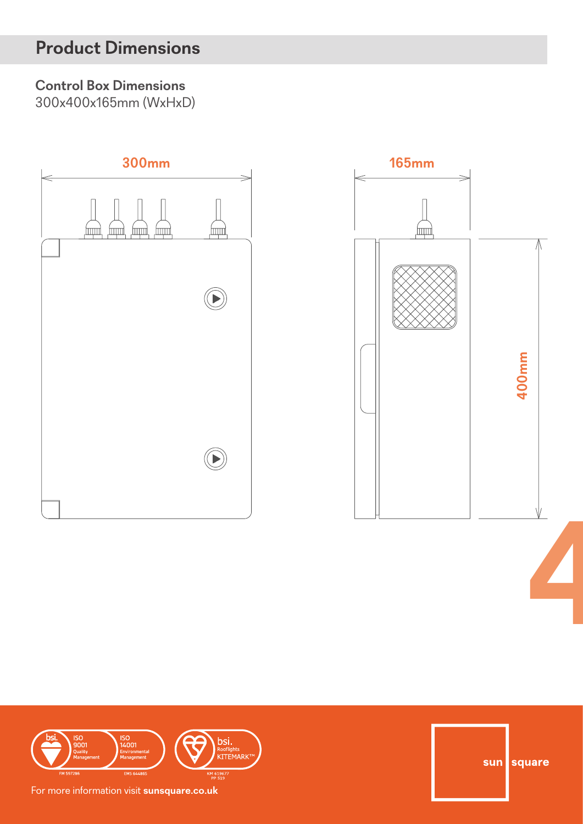## **Product Dimensions**

#### **Control Box Dimensions**

300x400x165mm (WxHxD)







sun square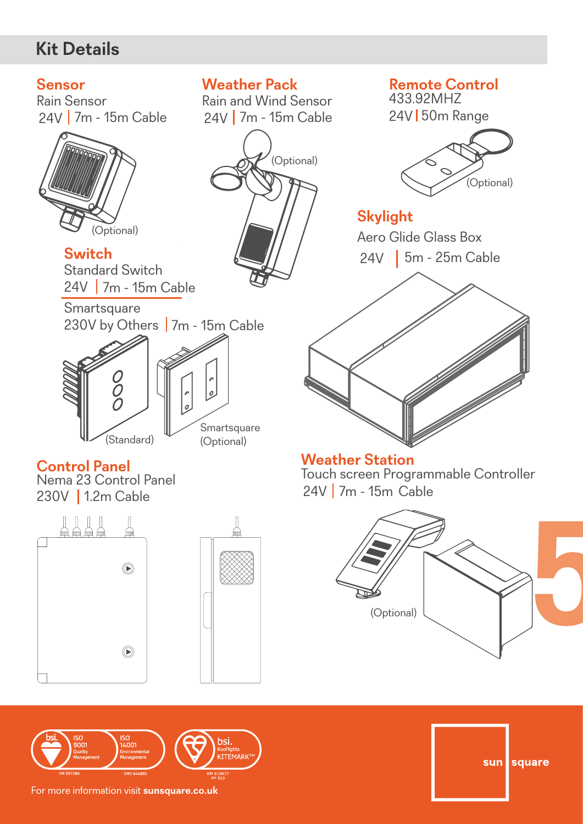## **Kit Details**

#### **Sensor**

24V | 7m - 15m Cable Rain Sensor



**Switch**  24V 7m - 15m Cable Standard Switch



#### **Control Panel**

230V | 1.2m Cable Nema 23 Control Panel







24V 7m - 15m Cable Rain and Wind Sensor



**Remote Control**  433.92MHZ

24V 50m Range



**Skylight**  24V | 5m - 25m Cable Aero Glide Glass Box



#### **Weather Station**

24V 7m - 15m Cable Touch screen Programmable Controller



sun square

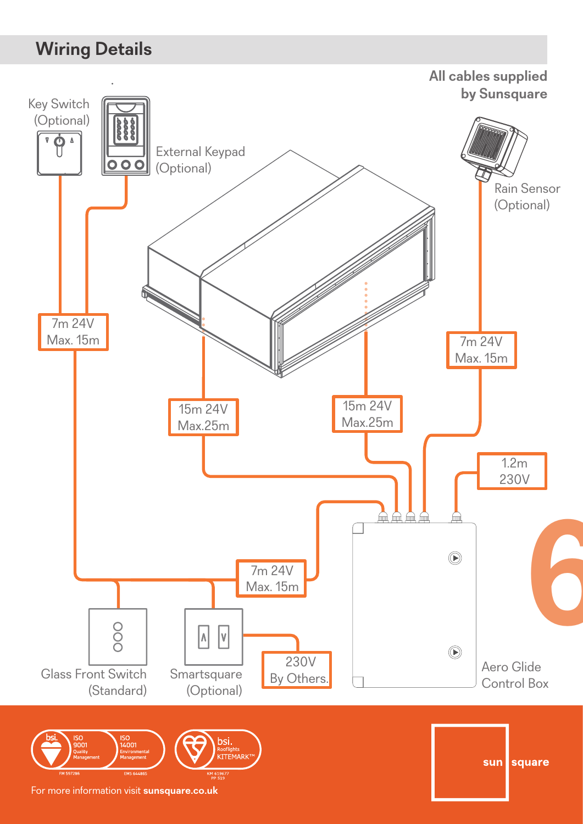## **Wiring Details**

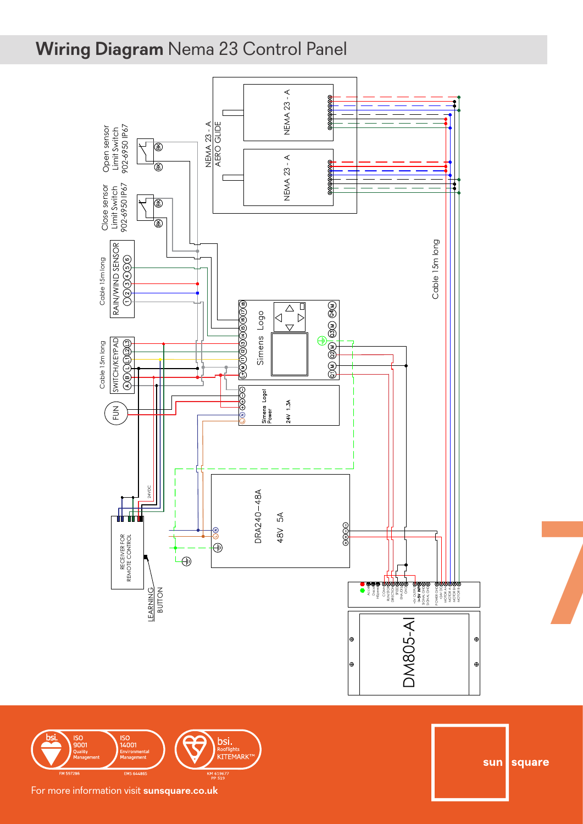# **Wiring Diagram** Nema 23 Control Panel



ISO<br>14001 **bsi.**<br>Rooflights<br>KITEMARK<sup>1</sup> 50<br>001<br><sub>uality</sub>

Sunsquare Ltd sun square

**7**

sales@sunsquare.co.uk; www.sunsquare.co.uk

Rev: Description: Date: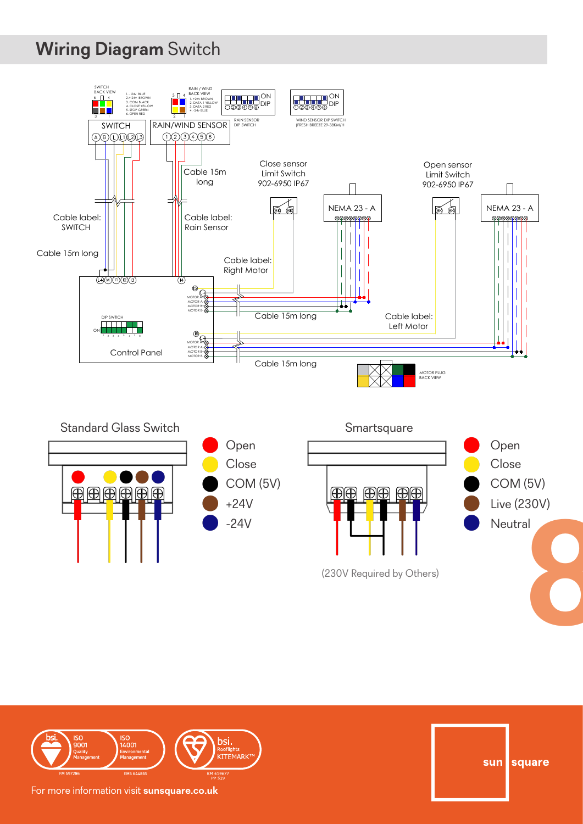# **Wiring Diagram** Switch





sun square